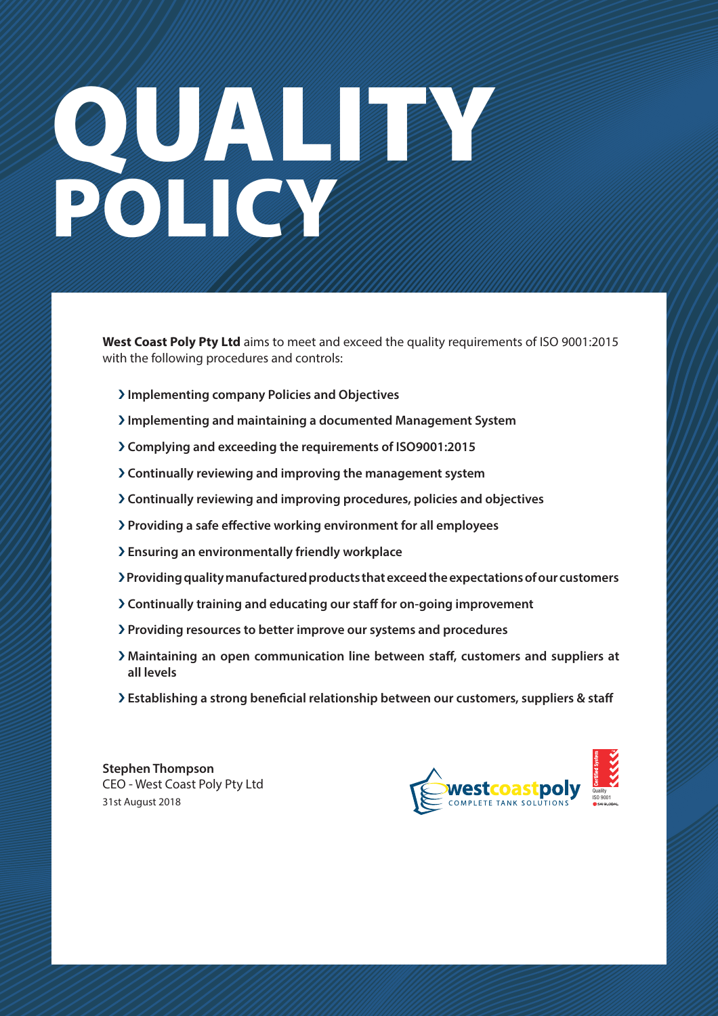# QUALITY OF THE COMMUNICATION POLICY OF THE REAL

**West Coast Poly Pty Ltd** aims to meet and exceed the quality requirements of ISO 9001:2015 with the following procedures and controls:

- › **Implementing company Policies and Objectives**
- › **Implementing and maintaining a documented Management System**
- › **Complying and exceeding the requirements of ISO9001:2015**
- › **Continually reviewing and improving the management system**
- › **Continually reviewing and improving procedures, policies and objectives**
- › **Providing a safe e!ective working environment for all employees**
- › **Ensuring an environmentally friendly workplace**
- › **Providing quality manufactured products that exceed the expectations of our customers**
- › **Continually training and educating our sta! for on-going improvement**
- › **Providing resources to better improve our systems and procedures**
- › **Maintaining an open communication line between sta!, customers and suppliers at all levels**
- › **Establishing a strong bene"cial relationship between our customers, suppliers & sta!**

**Stephen Thompson**  CEO - West Coast Poly Pty Ltd 31st August 2018

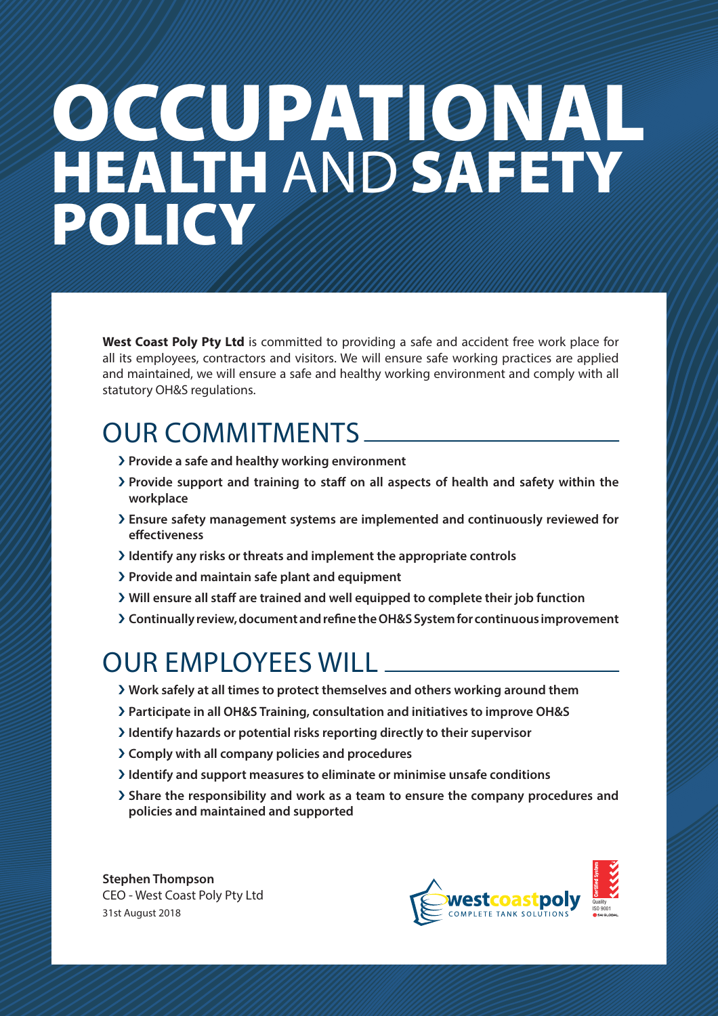### OCCUPATIONAL HEALTH AND SAFETY POLICY

**West Coast Poly Pty Ltd** is committed to providing a safe and accident free work place for all its employees, contractors and visitors. We will ensure safe working practices are applied and maintained, we will ensure a safe and healthy working environment and comply with all statutory OH&S regulations.

#### OUR COMMITMENTS

- › **Provide a safe and healthy working environment**
- › **Provide support and training to sta! on all aspects of health and safety within the workplace**
- › **Ensure safety management systems are implemented and continuously reviewed for e!ectiveness**
- › **Identify any risks or threats and implement the appropriate controls**
- › **Provide and maintain safe plant and equipment**
- › **Will ensure all sta! are trained and well equipped to complete their job function**
- › **Continually review, document and re"ne the OH&S System for continuous improvement**

#### OUR EMPLOYEES WILL

- › **Work safely at all times to protect themselves and others working around them**
- › **Participate in all OH&S Training, consultation and initiatives to improve OH&S**
- › **Identify hazards or potential risks reporting directly to their supervisor**
- › **Comply with all company policies and procedures**
- › **Identify and support measures to eliminate or minimise unsafe conditions**
- $\lambda$  Share the responsibility and work as a team to ensure the company procedures and **policies and maintained and supported**

**Stephen Thompson**  CEO - West Coast Poly Pty Ltd 31st August 2018